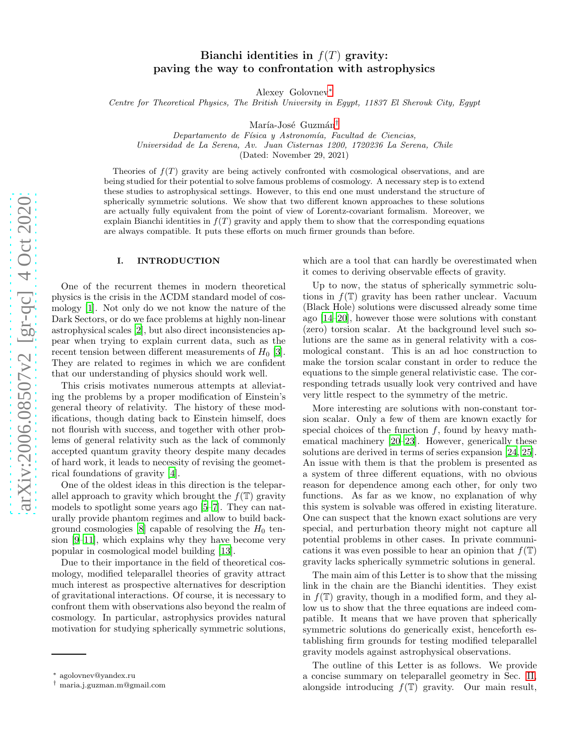# Bianchi identities in  $f(T)$  gravity: paving the way to confrontation with astrophysics

Alexey Golovnev [∗](#page-0-0)

Centre for Theoretical Physics, The British University in Egypt, 11837 El Sherouk City, Egypt

María-José Guzmán<sup>[†](#page-0-1)</sup>

Departamento de Física y Astronomía, Facultad de Ciencias, Universidad de La Serena, Av. Juan Cisternas 1200, 1720236 La Serena, Chile

(Dated: November 29, 2021)

Theories of  $f(T)$  gravity are being actively confronted with cosmological observations, and are being studied for their potential to solve famous problems of cosmology. A necessary step is to extend these studies to astrophysical settings. However, to this end one must understand the structure of spherically symmetric solutions. We show that two different known approaches to these solutions are actually fully equivalent from the point of view of Lorentz-covariant formalism. Moreover, we explain Bianchi identities in  $f(T)$  gravity and apply them to show that the corresponding equations are always compatible. It puts these efforts on much firmer grounds than before.

### I. INTRODUCTION

One of the recurrent themes in modern theoretical physics is the crisis in the ΛCDM standard model of cosmology [\[1\]](#page-5-0). Not only do we not know the nature of the Dark Sectors, or do we face problems at highly non-linear astrophysical scales [\[2\]](#page-5-1), but also direct inconsistencies appear when trying to explain current data, such as the recent tension between different measurements of  $H_0$  [\[3\]](#page-5-2). They are related to regimes in which we are confident that our understanding of physics should work well.

This crisis motivates numerous attempts at alleviating the problems by a proper modification of Einstein's general theory of relativity. The history of these modifications, though dating back to Einstein himself, does not flourish with success, and together with other problems of general relativity such as the lack of commonly accepted quantum gravity theory despite many decades of hard work, it leads to necessity of revising the geometrical foundations of gravity [\[4](#page-5-3)].

One of the oldest ideas in this direction is the teleparallel approach to gravity which brought the  $f(\mathbb{T})$  gravity models to spotlight some years ago [\[5](#page-5-4)[–7\]](#page-5-5). They can naturally provide phantom regimes and allow to build background cosmologies  $[8]$  capable of resolving the  $H_0$  tension [\[9](#page-5-7)[–11\]](#page-5-8), which explains why they have become very popular in cosmological model building [\[13](#page-5-9)].

Due to their importance in the field of theoretical cosmology, modified teleparallel theories of gravity attract much interest as prospective alternatives for description of gravitational interactions. Of course, it is necessary to confront them with observations also beyond the realm of cosmology. In particular, astrophysics provides natural motivation for studying spherically symmetric solutions,

which are a tool that can hardly be overestimated when it comes to deriving observable effects of gravity.

Up to now, the status of spherically symmetric solutions in  $f(\mathbb{T})$  gravity has been rather unclear. Vacuum (Black Hole) solutions were discussed already some time ago [\[14](#page-5-10)[–20](#page-5-11)], however those were solutions with constant (zero) torsion scalar. At the background level such solutions are the same as in general relativity with a cosmological constant. This is an ad hoc construction to make the torsion scalar constant in order to reduce the equations to the simple general relativistic case. The corresponding tetrads usually look very contrived and have very little respect to the symmetry of the metric.

More interesting are solutions with non-constant torsion scalar. Only a few of them are known exactly for special choices of the function  $f$ , found by heavy mathematical machinery [\[20](#page-5-11)[–23](#page-5-12)]. However, generically these solutions are derived in terms of series expansion [\[24](#page-5-13), [25\]](#page-5-14). An issue with them is that the problem is presented as a system of three different equations, with no obvious reason for dependence among each other, for only two functions. As far as we know, no explanation of why this system is solvable was offered in existing literature. One can suspect that the known exact solutions are very special, and perturbation theory might not capture all potential problems in other cases. In private communications it was even possible to hear an opinion that  $f(\mathbb{T})$ gravity lacks spherically symmetric solutions in general.

The main aim of this Letter is to show that the missing link in the chain are the Bianchi identities. They exist in  $f(\mathbb{T})$  gravity, though in a modified form, and they allow us to show that the three equations are indeed compatible. It means that we have proven that spherically symmetric solutions do generically exist, henceforth establishing firm grounds for testing modified teleparallel gravity models against astrophysical observations.

The outline of this Letter is as follows. We provide a concise summary on teleparallel geometry in Sec. [II,](#page-1-0) alongside introducing  $f(\mathbb{T})$  gravity. Our main result,

<span id="page-0-0"></span><sup>∗</sup> agolovnev@yandex.ru

<span id="page-0-1"></span><sup>†</sup> maria.j.guzman.m@gmail.com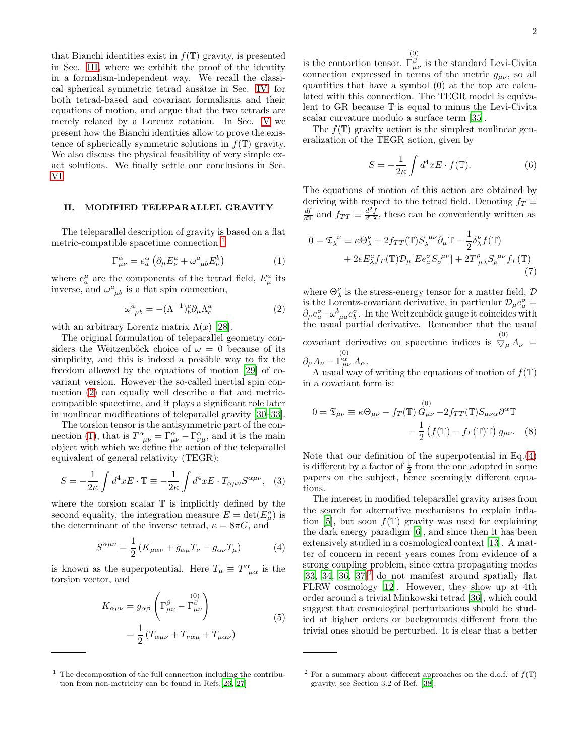that Bianchi identities exist in  $f(\mathbb{T})$  gravity, is presented in Sec. [III,](#page-2-0) where we exhibit the proof of the identity in a formalism-independent way. We recall the classi-cal spherical symmetric tetrad ansätze in Sec. [IV,](#page-2-1) for both tetrad-based and covariant formalisms and their equations of motion, and argue that the two tetrads are merely related by a Lorentz rotation. In Sec. [V](#page-3-0) we present how the Bianchi identities allow to prove the existence of spherically symmetric solutions in  $f(T)$  gravity. We also discuss the physical feasibility of very simple exact solutions. We finally settle our conclusions in Sec. [VI.](#page-5-15)

### <span id="page-1-0"></span>II. MODIFIED TELEPARALLEL GRAVITY

The teleparallel description of gravity is based on a flat metric-compatible spacetime connection [1](#page-1-1)

<span id="page-1-3"></span>
$$
\Gamma^{\alpha}_{\mu\nu} = e^{\alpha}_{a} \left( \partial_{\mu} E^{a}_{\nu} + \omega^{a}_{\mu b} E^{b}_{\nu} \right) \tag{1}
$$

where  $e^{\mu}_a$  are the components of the tetrad field,  $E^a_{\mu}$  its inverse, and  $\omega_{\mu b}^{a}$  is a flat spin connection,

<span id="page-1-2"></span>
$$
\omega_{\ \mu b}^{a} = -(\Lambda^{-1})^{c}_{b} \partial_{\mu} \Lambda_{c}^{a} \tag{2}
$$

with an arbitrary Lorentz matrix  $\Lambda(x)$  [\[28](#page-6-0)].

The original formulation of teleparallel geometry considers the Weitzenböck choice of  $\omega = 0$  because of its simplicity, and this is indeed a possible way to fix the freedom allowed by the equations of motion [\[29](#page-6-1)] of covariant version. However the so-called inertial spin connection [\(2\)](#page-1-2) can equally well describe a flat and metriccompatible spacetime, and it plays a significant role later in nonlinear modifications of teleparallel gravity [\[30](#page-6-2)[–33\]](#page-6-3).

The torsion tensor is the antisymmetric part of the con-nection [\(1\)](#page-1-3), that is  $T^{\alpha}_{\mu\nu} = \Gamma^{\alpha}_{\mu\nu} - \Gamma^{\alpha}_{\nu\mu}$ , and it is the main object with which we define the action of the teleparallel equivalent of general relativity (TEGR):

$$
S = -\frac{1}{2\kappa} \int d^4x E \cdot \mathbb{T} \equiv -\frac{1}{2\kappa} \int d^4x E \cdot T_{\alpha\mu\nu} S^{\alpha\mu\nu}, \quad (3)
$$

where the torsion scalar  $T$  is implicitly defined by the second equality, the integration measure  $E = det(E^a_\mu)$  is the determinant of the inverse tetrad,  $\kappa = 8\pi G$ , and

<span id="page-1-4"></span>
$$
S^{\alpha\mu\nu} = \frac{1}{2} \left( K_{\mu\alpha\nu} + g_{\alpha\mu} T_{\nu} - g_{\alpha\nu} T_{\mu} \right) \tag{4}
$$

is known as the superpotential. Here  $T_{\mu} \equiv T^{\alpha}_{\ \mu \alpha}$  is the torsion vector, and

$$
K_{\alpha\mu\nu} = g_{\alpha\beta} \left( \Gamma^{\beta}_{\mu\nu} - \Gamma^{\beta}_{\mu\nu} \right)
$$
  
= 
$$
\frac{1}{2} \left( T_{\alpha\mu\nu} + T_{\nu\alpha\mu} + T_{\mu\alpha\nu} \right)
$$
 (5)

is the contortion tensor.  $\Gamma^{\beta}_{\mu\nu}$  is the standard Levi-Civita connection expressed in terms of the metric  $g_{\mu\nu}$ , so all quantities that have a symbol (0) at the top are calculated with this connection. The TEGR model is equivalent to GR because T is equal to minus the Levi-Civita scalar curvature modulo a surface term [\[35](#page-6-6)].

(0)

The  $f(\mathbb{T})$  gravity action is the simplest nonlinear generalization of the TEGR action, given by

$$
S = -\frac{1}{2\kappa} \int d^4x E \cdot f(\mathbb{T}). \tag{6}
$$

The equations of motion of this action are obtained by deriving with respect to the tetrad field. Denoting  $f_T \equiv$  $\frac{df}{d\mathbb{T}}$  and  $f_{TT} \equiv \frac{d^2f}{d\mathbb{T}^2}$ , these can be conveniently written as

$$
0 = \mathfrak{T}_{\lambda}^{\nu} \equiv \kappa \Theta_{\lambda}^{\nu} + 2f_{TT}(\mathbb{T})S_{\lambda}^{\mu\nu} \partial_{\mu} \mathbb{T} - \frac{1}{2} \delta_{\lambda}^{\nu} f(\mathbb{T}) + 2e E_{\lambda}^a f_T(\mathbb{T}) \mathcal{D}_{\mu} [E e_a^{\sigma} S_{\sigma}^{\ \mu\nu}] + 2T^{\rho}_{\ \mu\lambda} S_{\rho}^{\ \mu\nu} f_T(\mathbb{T})
$$
\n(7)

where  $\Theta^{\nu}_{\lambda}$  is the stress-energy tensor for a matter field,  $\mathcal{D}$ is the Lorentz-covariant derivative, in particular  $\mathcal{D}_{\mu}e^{\sigma}_{a}$  $\partial_{\mu}e^{\sigma}_{a}-\omega^{b}_{\mu a}e^{\sigma}_{b}$ . In the Weitzenböck gauge it coincides with the usual partial derivative. Remember that the usual covariant derivative on spacetime indices is  $\bigvee^{\{0\}}_{\mu} A_{\nu} =$  $\partial_{\mu}A_{\nu}-\mathop{\Gamma^{\alpha}_{\mu\nu}}\limits^{(0)} A_{\alpha}.$ 

A usual way of writing the equations of motion of  $f(\mathbb{T})$ in a covariant form is:

<span id="page-1-6"></span>
$$
0 = \mathfrak{T}_{\mu\nu} \equiv \kappa \Theta_{\mu\nu} - f_T(\mathbb{T}) \stackrel{(0)}{G_{\mu\nu}} - 2f_{TT}(\mathbb{T}) S_{\mu\nu\alpha} \partial^{\alpha} \mathbb{T}
$$

$$
- \frac{1}{2} \left( f(\mathbb{T}) - f_T(\mathbb{T}) \mathbb{T} \right) g_{\mu\nu}. \quad (8)
$$

Note that our definition of the superpotential in Eq.[\(4\)](#page-1-4) is different by a factor of  $\frac{1}{2}$  from the one adopted in some papers on the subject, hence seemingly different equations.

The interest in modified teleparallel gravity arises from the search for alternative mechanisms to explain infla-tion [\[5](#page-5-4)], but soon  $f(\mathbb{T})$  gravity was used for explaining the dark energy paradigm [\[6](#page-5-16)], and since then it has been extensively studied in a cosmological context [\[13](#page-5-9)]. A matter of concern in recent years comes from evidence of a strong coupling problem, since extra propagating modes [\[33,](#page-6-3) [34](#page-6-7), [36,](#page-6-8)  $37$ ]<sup>[2](#page-1-5)</sup> do not manifest around spatially flat FLRW cosmology [\[12](#page-5-17)]. However, they show up at 4th order around a trivial Minkowski tetrad [\[36\]](#page-6-8), which could suggest that cosmological perturbations should be studied at higher orders or backgrounds different from the trivial ones should be perturbed. It is clear that a better

<span id="page-1-1"></span> $1$  The decomposition of the full connection including the contribution from non-metricity can be found in Refs.[\[26](#page-6-4), [27\]](#page-6-5)

<span id="page-1-5"></span><sup>&</sup>lt;sup>2</sup> For a summary about different approaches on the d.o.f. of  $f(\mathbb{T})$ gravity, see Section 3.2 of Ref. [\[38\]](#page-6-10).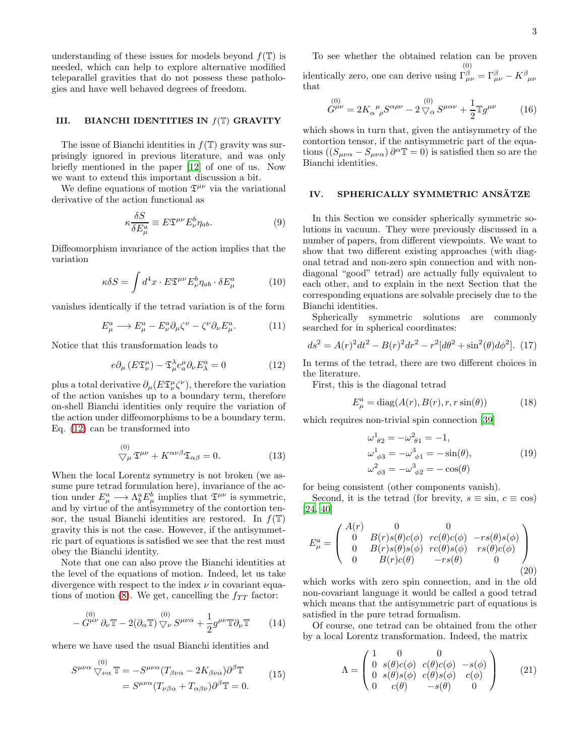understanding of these issues for models beyond  $f(\mathbb{T})$  is needed, which can help to explore alternative modified teleparallel gravities that do not possess these pathologies and have well behaved degrees of freedom.

### <span id="page-2-0"></span>III. BIANCHI IDENTITIES IN  $f(\mathbb{T})$  GRAVITY

The issue of Bianchi identities in  $f(\mathbb{T})$  gravity was surprisingly ignored in previous literature, and was only briefly mentioned in the paper [\[12](#page-5-17)] of one of us. Now we want to extend this important discussion a bit.

We define equations of motion  $\mathfrak{T}^{\mu\nu}$  via the variational derivative of the action functional as

$$
\kappa \frac{\delta S}{\delta E^a_\mu} \equiv E \mathfrak{T}^{\mu \nu} E^b_\nu \eta_{ab}.
$$
 (9)

Diffeomorphism invariance of the action implies that the variation

$$
\kappa \delta S = \int d^4 x \cdot E \mathfrak{T}^{\mu \nu} E^b_{\nu} \eta_{ab} \cdot \delta E^a_{\mu} \tag{10}
$$

vanishes identically if the tetrad variation is of the form

$$
E^a_\mu \longrightarrow E^a_\mu - E^a_\nu \partial_\mu \zeta^\nu - \zeta^\nu \partial_\nu E^a_\mu. \tag{11}
$$

Notice that this transformation leads to

<span id="page-2-2"></span>
$$
e\partial_{\mu}\left(E\mathfrak{T}_{\nu}^{\mu}\right) - \mathfrak{T}_{\mu}^{\lambda}e_{a}^{\mu}\partial_{\nu}E_{\lambda}^{a} = 0 \tag{12}
$$

plus a total derivative  $\partial_{\mu} (E \mathfrak{T}^{\mu}_{\nu} \zeta^{\nu})$ , therefore the variation of the action vanishes up to a boundary term, therefore on-shell Bianchi identities only require the variation of the action under diffeomorphisms to be a boundary term. Eq. [\(12\)](#page-2-2) can be transformed into

$$
{}^{(0)}_{\nabla\mu}\mathfrak{T}^{\mu\nu} + K^{\alpha\nu\beta}\mathfrak{T}_{\alpha\beta} = 0.
$$
 (13)

When the local Lorentz symmetry is not broken (we assume pure tetrad formulation here), invariance of the action under  $E^a_\mu \longrightarrow \Lambda^a_b E^b_\mu$  implies that  $\mathfrak{T}^{\mu\nu}$  is symmetric, and by virtue of the antisymmetry of the contortion tensor, the usual Bianchi identities are restored. In  $f(\mathbb{T})$ gravity this is not the case. However, if the antisymmetric part of equations is satisfied we see that the rest must obey the Bianchi identity.

Note that one can also prove the Bianchi identities at the level of the equations of motion. Indeed, let us take divergence with respect to the index  $\nu$  in covariant equa-tions of motion [\(8\)](#page-1-6). We get, cancelling the  $f_{TT}$  factor:

$$
-G^{\mu\nu}\partial_{\nu}\mathbb{T} - 2(\partial_{\alpha}\mathbb{T})\bigotimes^{(0)}_{\nu}S^{\mu\nu\alpha} + \frac{1}{2}g^{\mu\nu}\mathbb{T}\partial_{\nu}\mathbb{T} \qquad (14)
$$

where we have used the usual Bianchi identities and

$$
S^{\mu\nu\alpha} \bigtriangledown_{\nu\alpha}^{(0)} \mathbb{T} = -S^{\mu\nu\alpha} (T_{\beta\nu\alpha} - 2K_{\beta\nu\alpha}) \partial^{\beta} \mathbb{T}
$$
  
= 
$$
S^{\mu\nu\alpha} (T_{\nu\beta\alpha} + T_{\alpha\beta\nu}) \partial^{\beta} \mathbb{T} = 0.
$$
 (15)

To see whether the obtained relation can be proven identically zero, one can derive using (0)  $\Gamma^{\beta}_{\mu\nu} = \Gamma^{\beta}_{\mu\nu} - K^{\beta}_{\mu\nu}$ that

$$
G^{\mu\nu} = 2K_{\alpha\ \rho}^{\ \mu} S^{\alpha\rho\nu} - 2\bigtriangledown_{\alpha}^{\ (0)} S^{\mu\alpha\nu} + \frac{1}{2}Tg^{\mu\nu} \tag{16}
$$

which shows in turn that, given the antisymmetry of the contortion tensor, if the antisymmetric part of the equations  $((S_{\mu\nu\alpha} - S_{\mu\nu\alpha}) \partial^{\alpha} \mathbb{T} = 0)$  is satisfied then so are the Bianchi identities.

# <span id="page-2-1"></span>IV. SPHERICALLY SYMMETRIC ANSÄTZE

In this Section we consider spherically symmetric solutions in vacuum. They were previously discussed in a number of papers, from different viewpoints. We want to show that two different existing approaches (with diagonal tetrad and non-zero spin connection and with nondiagonal "good" tetrad) are actually fully equivalent to each other, and to explain in the next Section that the corresponding equations are solvable precisely due to the Bianchi identities.

Spherically symmetric solutions are commonly searched for in spherical coordinates:

<span id="page-2-7"></span>
$$
ds^{2} = A(r)^{2}dt^{2} - B(r)^{2}dr^{2} - r^{2}[d\theta^{2} + \sin^{2}(\theta)d\phi^{2}].
$$
 (17)

In terms of the tetrad, there are two different choices in the literature.

First, this is the diagonal tetrad

<span id="page-2-3"></span>
$$
E_{\mu}^{a} = \text{diag}(A(r), B(r), r, r\sin(\theta))
$$
 (18)

which requires non-trivial spin connection [\[39\]](#page-6-11)

$$
\omega_{\theta_2}^1 = -\omega_{\theta_1}^2 = -1,\n\omega_{\phi_3}^1 = -\omega_{\phi_1}^3 = -\sin(\theta),\n\omega_{\phi_3}^2 = -\omega_{\phi_2}^3 = -\cos(\theta)
$$
\n(19)

<span id="page-2-5"></span>for being consistent (other components vanish).

Second, it is the tetrad (for brevity,  $s \equiv \sin, c \equiv \cos$ ) [\[24,](#page-5-13) [40\]](#page-6-12)

<span id="page-2-4"></span>
$$
E_{\mu}^{a} = \begin{pmatrix} A(r) & 0 & 0 \\ 0 & B(r)s(\theta)c(\phi) & rc(\theta)c(\phi) & -rs(\theta)s(\phi) \\ 0 & B(r)s(\theta)s(\phi) & rc(\theta)s(\phi) & rs(\theta)c(\phi) \\ 0 & B(r)c(\theta) & -rs(\theta) & 0 \end{pmatrix}
$$
(20)

which works with zero spin connection, and in the old non-covariant language it would be called a good tetrad which means that the antisymmetric part of equations is satisfied in the pure tetrad formalism.

Of course, one tetrad can be obtained from the other by a local Lorentz transformation. Indeed, the matrix

<span id="page-2-6"></span>
$$
\Lambda = \begin{pmatrix}\n1 & 0 & 0 \\
0 & s(\theta)c(\phi) & c(\theta)c(\phi) & -s(\phi) \\
0 & s(\theta)s(\phi) & c(\theta)s(\phi) & c(\phi) \\
0 & c(\theta) & -s(\theta) & 0\n\end{pmatrix}
$$
\n(21)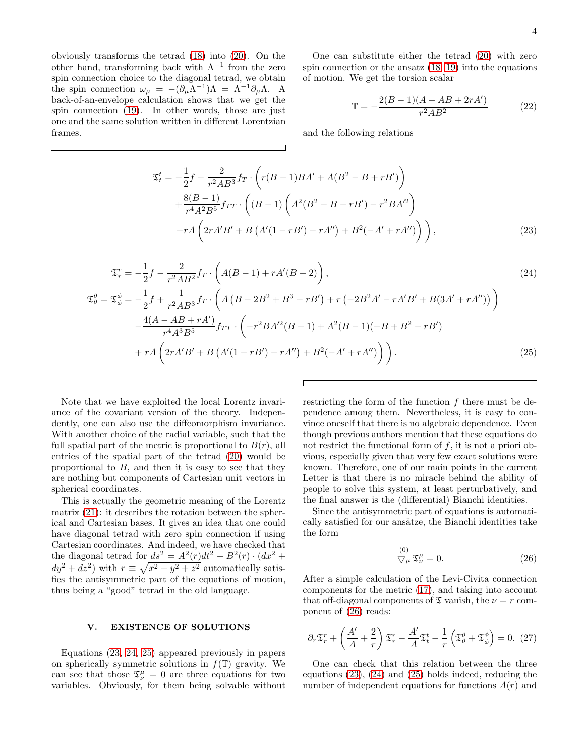obviously transforms the tetrad [\(18\)](#page-2-3) into [\(20\)](#page-2-4). On the other hand, transforming back with  $\Lambda^{-1}$  from the zero spin connection choice to the diagonal tetrad, we obtain the spin connection  $\omega_{\mu} = -(\partial_{\mu} \Lambda^{-1})\Lambda = \Lambda^{-1} \partial_{\mu} \Lambda$ . A back-of-an-envelope calculation shows that we get the spin connection [\(19\)](#page-2-5). In other words, those are just one and the same solution written in different Lorentzian frames.

One can substitute either the tetrad [\(20\)](#page-2-4) with zero spin connection or the ansatz  $(18, 19)$  $(18, 19)$  into the equations of motion. We get the torsion scalar

<span id="page-3-4"></span>
$$
\mathbb{T} = -\frac{2(B-1)(A - AB + 2rA')}{r^2AB^2} \tag{22}
$$

and the following relations

<span id="page-3-1"></span>
$$
\mathfrak{T}_{t}^{t} = -\frac{1}{2}f - \frac{2}{r^{2}AB^{3}}f_{T} \cdot \left(r(B-1)BA' + A(B^{2} - B + rB')\right) \n+ \frac{8(B-1)}{r^{4}A^{2}B^{5}}f_{TT} \cdot \left((B-1)\left(A^{2}(B^{2} - B - rB') - r^{2}BA'^{2}\right) \n+ rA\left(2rA'B' + B\left(A'(1 - rB') - rA''\right) + B^{2}(-A' + rA'')\right)\right),
$$
\n(23)

<span id="page-3-2"></span>
$$
\mathfrak{T}_{r}^{r} = -\frac{1}{2}f - \frac{2}{r^{2}AB^{2}}f_{T} \cdot \left(A(B-1) + rA'(B-2)\right),
$$
\n
$$
\mathfrak{T}_{\theta}^{\theta} = \mathfrak{T}_{\phi}^{\phi} = -\frac{1}{2}f + \frac{1}{r^{2}AB^{3}}f_{T} \cdot \left(A\left(B-2B^{2}+B^{3}-rB'\right)+r\left(-2B^{2}A'-rA'B'+B(3A'+rA'')\right)\right)
$$
\n
$$
-\frac{4(A-AB+rA')}{r^{4}A^{3}B^{5}}f_{TT} \cdot \left(-r^{2}BA'^{2}(B-1)+A^{2}(B-1)(-B+B^{2}-rB')\right)
$$
\n
$$
+ rA\left(2rA'B'+B\left(A'(1-rB')-rA''\right)+B^{2}(-A'+rA'')\right)\right).
$$
\n(25)

Note that we have exploited the local Lorentz invariance of the covariant version of the theory. Independently, one can also use the diffeomorphism invariance. With another choice of the radial variable, such that the full spatial part of the metric is proportional to  $B(r)$ , all entries of the spatial part of the tetrad [\(20\)](#page-2-4) would be proportional to  $B$ , and then it is easy to see that they are nothing but components of Cartesian unit vectors in spherical coordinates.

This is actually the geometric meaning of the Lorentz matrix [\(21\)](#page-2-6): it describes the rotation between the spherical and Cartesian bases. It gives an idea that one could have diagonal tetrad with zero spin connection if using Cartesian coordinates. And indeed, we have checked that the diagonal tetrad for  $ds^2 = A^2(r)dt^2 - B^2(r) \cdot (dx^2 +$  $dy^2 + dz^2$ ) with  $r \equiv \sqrt{x^2 + y^2 + z^2}$  automatically satisfies the antisymmetric part of the equations of motion, thus being a "good" tetrad in the old language.

# <span id="page-3-0"></span>V. EXISTENCE OF SOLUTIONS

Equations [\(23,](#page-3-1) [24, 25\)](#page-3-2) appeared previously in papers on spherically symmetric solutions in  $f(\mathbb{T})$  gravity. We can see that those  $\mathfrak{T}^{\mu}_{\nu} = 0$  are three equations for two variables. Obviously, for them being solvable without

restricting the form of the function  $f$  there must be dependence among them. Nevertheless, it is easy to convince oneself that there is no algebraic dependence. Even though previous authors mention that these equations do not restrict the functional form of  $f$ , it is not a priori obvious, especially given that very few exact solutions were known. Therefore, one of our main points in the current Letter is that there is no miracle behind the ability of people to solve this system, at least perturbatively, and the final answer is the (differential) Bianchi identities.

Since the antisymmetric part of equations is automatically satisfied for our ansätze, the Bianchi identities take the form

<span id="page-3-3"></span>
$$
\bigvee_{\mu}^{(0)} \mathfrak{T}_{\nu}^{\mu} = 0. \tag{26}
$$

After a simple calculation of the Levi-Civita connection components for the metric [\(17\)](#page-2-7), and taking into account that off-diagonal components of  $\mathfrak T$  vanish, the  $\nu = r$  component of [\(26\)](#page-3-3) reads:

$$
\partial_r \mathfrak{T}^r_r + \left(\frac{A'}{A} + \frac{2}{r}\right) \mathfrak{T}^r_r - \frac{A'}{A} \mathfrak{T}^t_t - \frac{1}{r} \left(\mathfrak{T}^\theta_\theta + \mathfrak{T}^\phi_\phi\right) = 0. \tag{27}
$$

One can check that this relation between the three equations [\(23\)](#page-3-1), [\(24\)](#page-3-2) and [\(25\)](#page-3-2) holds indeed, reducing the number of independent equations for functions  $A(r)$  and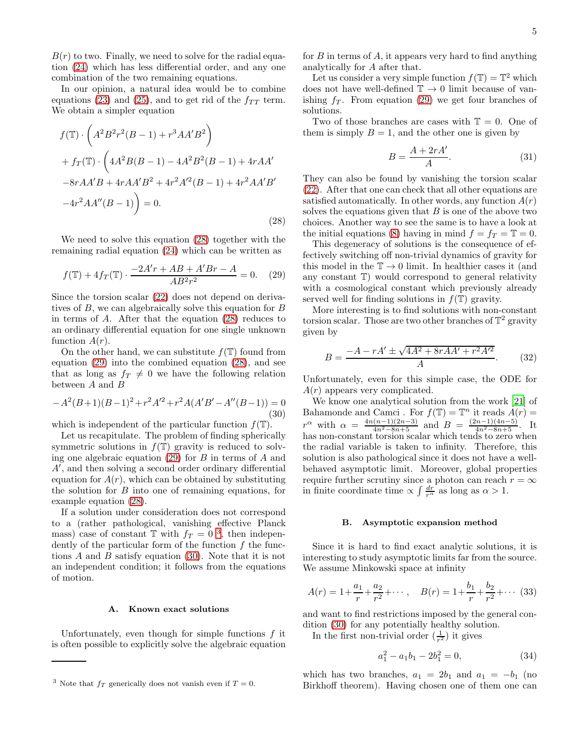$B(r)$  to two. Finally, we need to solve for the radial equation [\(24\)](#page-3-2) which has less differential order, and any one combination of the two remaining equations.

In our opinion, a natural idea would be to combine equations [\(23\)](#page-3-1) and [\(25\)](#page-3-2), and to get rid of the  $f_{TT}$  term. We obtain a simpler equation

<span id="page-4-0"></span>
$$
f(\mathbb{T}) \cdot \left( A^2 B^2 r^2 (B - 1) + r^3 A A' B^2 \right)
$$
  
+ 
$$
f_T(\mathbb{T}) \cdot \left( 4A^2 B (B - 1) - 4A^2 B^2 (B - 1) + 4r A A' \right)
$$
  
-
$$
-8r A A' B + 4r A A' B^2 + 4r^2 A'^2 (B - 1) + 4r^2 A A' B'
$$
  
-
$$
4r^2 A A'' (B - 1) \right) = 0.
$$
 (28)

We need to solve this equation [\(28\)](#page-4-0) together with the remaining radial equation [\(24\)](#page-3-2) which can be written as

<span id="page-4-1"></span>
$$
f(\mathbb{T}) + 4f_T(\mathbb{T}) \cdot \frac{-2A'r + AB + A'Br - A}{AB^2r^2} = 0. \tag{29}
$$

Since the torsion scalar [\(22\)](#page-3-4) does not depend on derivatives of B, we can algebraically solve this equation for B in terms of A. After that the equation [\(28\)](#page-4-0) reduces to an ordinary differential equation for one single unknown function  $A(r)$ .

On the other hand, we can substitute  $f(\mathbb{T})$  found from equation [\(29\)](#page-4-1) into the combined equation [\(28\)](#page-4-0), and see that as long as  $f_T \neq 0$  we have the following relation between A and B

<span id="page-4-3"></span>
$$
-A^{2}(B+1)(B-1)^{2} + r^{2}A'^{2} + r^{2}A(A'B' - A''(B-1)) = 0
$$
\n(30)

which is independent of the particular function  $f(\mathbb{T})$ .

Let us recapitulate. The problem of finding spherically symmetric solutions in  $f(\mathbb{T})$  gravity is reduced to solving one algebraic equation  $(29)$  for B in terms of A and A′ , and then solving a second order ordinary differential equation for  $A(r)$ , which can be obtained by substituting the solution for B into one of remaining equations, for example equation [\(28\)](#page-4-0).

If a solution under consideration does not correspond to a (rather pathological, vanishing effective Planck mass) case of constant  $\mathbb T$  with  $f_T = 0^3$  $f_T = 0^3$ , then independently of the particular form of the function  $f$  the functions  $A$  and  $B$  satisfy equation [\(30\)](#page-4-3). Note that it is not an independent condition; it follows from the equations of motion.

### A. Known exact solutions

Unfortunately, even though for simple functions  $f$  it is often possible to explicitly solve the algebraic equation

for  $B$  in terms of  $A$ , it appears very hard to find anything analytically for A after that.

Let us consider a very simple function  $f(\mathbb{T}) = \mathbb{T}^2$  which does not have well-defined  $\mathbb{T} \to 0$  limit because of vanishing  $f<sub>T</sub>$ . From equation [\(29\)](#page-4-1) we get four branches of solutions.

Two of those branches are cases with  $\mathbb{T} = 0$ . One of them is simply  $B = 1$ , and the other one is given by

$$
B = \frac{A + 2rA'}{A}.\tag{31}
$$

They can also be found by vanishing the torsion scalar [\(22\)](#page-3-4). After that one can check that all other equations are satisfied automatically. In other words, any function  $A(r)$ solves the equations given that  $B$  is one of the above two choices. Another way to see the same is to have a look at the initial equations [\(8\)](#page-1-6) having in mind  $f = f_T = \mathbb{T} = 0$ .

This degeneracy of solutions is the consequence of effectively switching off non-trivial dynamics of gravity for this model in the  $\mathbb{T} \to 0$  limit. In healthier cases it (and any constant T) would correspond to general relativity with a cosmological constant which previously already served well for finding solutions in  $f(\mathbb{T})$  gravity.

More interesting is to find solutions with non-constant torsion scalar. Those are two other branches of  $\mathbb{T}^2$  gravity given by

$$
B = \frac{-A - rA' \pm \sqrt{4A^2 + 8rAA' + r^2A'^2}}{A}.
$$
 (32)

Unfortunately, even for this simple case, the ODE for  $A(r)$  appears very complicated.

We know one analytical solution from the work [\[21](#page-5-18)] of Bahamonde and Camci. For  $f(\mathbb{T}) = \mathbb{T}^n$  it reads  $\dot{A}(r) =$  $r^{\alpha}$  with  $\alpha = \frac{4n(n-1)(2n-3)}{4n^2-8n+5}$  and  $B = \frac{(2n-1)(4n-5)}{4n^2-8n+5}$ . It has non-constant torsion scalar which tends to zero when the radial variable is taken to infinity. Therefore, this solution is also pathological since it does not have a wellbehaved asymptotic limit. Moreover, global properties require further scrutiny since a photon can reach  $r = \infty$ in finite coordinate time  $\propto \int \frac{dr}{r^{\alpha}}$  as long as  $\alpha > 1$ .

#### B. Asymptotic expansion method

Since it is hard to find exact analytic solutions, it is interesting to study asymptotic limits far from the source. We assume Minkowski space at infinity

$$
A(r) = 1 + \frac{a_1}{r} + \frac{a_2}{r^2} + \dots, \quad B(r) = 1 + \frac{b_1}{r} + \frac{b_2}{r^2} + \dots \tag{33}
$$

and want to find restrictions imposed by the general condition [\(30\)](#page-4-3) for any potentially healthy solution.

In the first non-trivial order  $(\frac{1}{r^2})$  it gives

$$
a_1^2 - a_1 b_1 - 2b_1^2 = 0,\t\t(34)
$$

which has two branches,  $a_1 = 2b_1$  and  $a_1 = -b_1$  (no Birkhoff theorem). Having chosen one of them one can

<span id="page-4-2"></span><sup>&</sup>lt;sup>3</sup> Note that  $f_T$  generically does not vanish even if  $T = 0$ .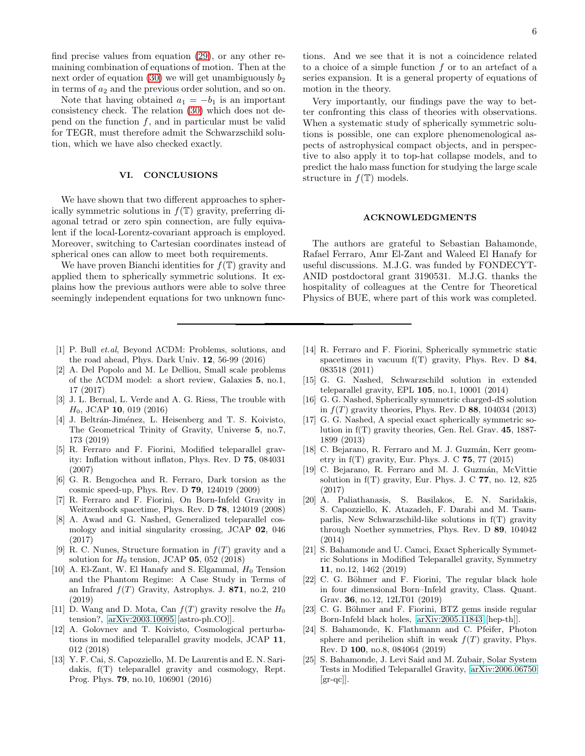find precise values from equation [\(29\)](#page-4-1), or any other remaining combination of equations of motion. Then at the next order of equation [\(30\)](#page-4-3) we will get unambiguously  $b_2$ in terms of  $a_2$  and the previous order solution, and so on.

Note that having obtained  $a_1 = -b_1$  is an important consistency check. The relation [\(30\)](#page-4-3) which does not depend on the function  $f$ , and in particular must be valid for TEGR, must therefore admit the Schwarzschild solution, which we have also checked exactly.

### <span id="page-5-15"></span>VI. CONCLUSIONS

We have shown that two different approaches to spherically symmetric solutions in  $f(\mathbb{T})$  gravity, preferring diagonal tetrad or zero spin connection, are fully equivalent if the local-Lorentz-covariant approach is employed. Moreover, switching to Cartesian coordinates instead of spherical ones can allow to meet both requirements.

We have proven Bianchi identities for  $f(\mathbb{T})$  gravity and applied them to spherically symmetric solutions. It explains how the previous authors were able to solve three seemingly independent equations for two unknown func-

- <span id="page-5-0"></span>[1] P. Bull et.al, Beyond ΛCDM: Problems, solutions, and the road ahead, Phys. Dark Univ. 12, 56-99 (2016)
- <span id="page-5-1"></span>[2] A. Del Popolo and M. Le Delliou, Small scale problems of the ΛCDM model: a short review, Galaxies 5, no.1, 17 (2017)
- <span id="page-5-2"></span>[3] J. L. Bernal, L. Verde and A. G. Riess, The trouble with  $H_0$ , JCAP 10, 019 (2016)
- <span id="page-5-3"></span>[4] J. Beltrán-Jiménez, L. Heisenberg and T. S. Koivisto, The Geometrical Trinity of Gravity, Universe 5, no.7, 173 (2019)
- <span id="page-5-4"></span>[5] R. Ferraro and F. Fiorini, Modified teleparallel gravity: Inflation without inflaton, Phys. Rev. D 75, 084031 (2007)
- <span id="page-5-16"></span>[6] G. R. Bengochea and R. Ferraro, Dark torsion as the cosmic speed-up, Phys. Rev. D 79, 124019 (2009)
- <span id="page-5-5"></span>[7] R. Ferraro and F. Fiorini, On Born-Infeld Gravity in Weitzenbock spacetime, Phys. Rev. D 78, 124019 (2008)
- <span id="page-5-6"></span>[8] A. Awad and G. Nashed, Generalized teleparallel cosmology and initial singularity crossing, JCAP 02, 046 (2017)
- <span id="page-5-7"></span>[9] R. C. Nunes, Structure formation in  $f(T)$  gravity and a solution for  $H_0$  tension, JCAP 05, 052 (2018)
- [10] A. El-Zant, W. El Hanafy and S. Elgammal,  $H_0$  Tension and the Phantom Regime: A Case Study in Terms of an Infrared  $f(T)$  Gravity, Astrophys. J. 871, no.2, 210 (2019)
- <span id="page-5-8"></span>[11] D. Wang and D. Mota, Can  $f(T)$  gravity resolve the  $H_0$ tension?, [\[arXiv:2003.10095](http://arxiv.org/abs/2003.10095) [astro-ph.CO]].
- <span id="page-5-17"></span>[12] A. Golovnev and T. Koivisto, Cosmological perturbations in modified teleparallel gravity models, JCAP 11, 012 (2018)
- <span id="page-5-9"></span>[13] Y. F. Cai, S. Capozziello, M. De Laurentis and E. N. Saridakis, f(T) teleparallel gravity and cosmology, Rept. Prog. Phys. 79, no.10, 106901 (2016)

tions. And we see that it is not a coincidence related to a choice of a simple function  $f$  or to an artefact of a series expansion. It is a general property of equations of motion in the theory.

Very importantly, our findings pave the way to better confronting this class of theories with observations. When a systematic study of spherically symmetric solutions is possible, one can explore phenomenological aspects of astrophysical compact objects, and in perspective to also apply it to top-hat collapse models, and to predict the halo mass function for studying the large scale structure in  $f(\mathbb{T})$  models.

#### ACKNOWLEDGMENTS

The authors are grateful to Sebastian Bahamonde, Rafael Ferraro, Amr El-Zant and Waleed El Hanafy for useful discussions. M.J.G. was funded by FONDECYT-ANID postdoctoral grant 3190531. M.J.G. thanks the hospitality of colleagues at the Centre for Theoretical Physics of BUE, where part of this work was completed.

- <span id="page-5-10"></span>[14] R. Ferraro and F. Fiorini, Spherically symmetric static spacetimes in vacuum  $f(T)$  gravity, Phys. Rev. D 84, 083518 (2011)
- [15] G. G. Nashed, Schwarzschild solution in extended teleparallel gravity, EPL  $105$ , no.1, 10001 (2014)
- [16] G. G. Nashed, Spherically symmetric charged-dS solution in  $f(T)$  gravity theories, Phys. Rev. D 88, 104034 (2013)
- [17] G. G. Nashed, A special exact spherically symmetric solution in f(T) gravity theories, Gen. Rel. Grav. 45, 1887- 1899 (2013)
- [18] C. Bejarano, R. Ferraro and M. J. Guzmán, Kerr geometry in f(T) gravity, Eur. Phys. J. C 75, 77 (2015)
- [19] C. Bejarano, R. Ferraro and M. J. Guzmán, McVittie solution in  $f(T)$  gravity, Eur. Phys. J. C 77, no. 12, 825 (2017)
- <span id="page-5-11"></span>[20] A. Paliathanasis, S. Basilakos, E. N. Saridakis, S. Capozziello, K. Atazadeh, F. Darabi and M. Tsamparlis, New Schwarzschild-like solutions in f(T) gravity through Noether symmetries, Phys. Rev. D 89, 104042 (2014)
- <span id="page-5-18"></span>[21] S. Bahamonde and U. Camci, Exact Spherically Symmetric Solutions in Modified Teleparallel gravity, Symmetry 11, no.12, 1462 (2019)
- [22] C. G. Böhmer and F. Fiorini, The regular black hole in four dimensional Born–Infeld gravity, Class. Quant. Grav. 36, no.12, 12LT01 (2019)
- <span id="page-5-12"></span>[23] C. G. Böhmer and F. Fiorini, BTZ gems inside regular Born-Infeld black holes, [\[arXiv:2005.11843](http://arxiv.org/abs/2005.11843) [hep-th]].
- <span id="page-5-13"></span>[24] S. Bahamonde, K. Flathmann and C. Pfeifer, Photon sphere and perihelion shift in weak  $f(T)$  gravity, Phys. Rev. D 100, no.8, 084064 (2019)
- <span id="page-5-14"></span>[25] S. Bahamonde, J. Levi Said and M. Zubair, Solar System Tests in Modified Teleparallel Gravity, [\[arXiv:2006.06750](http://arxiv.org/abs/2006.06750)  $\left[\text{gr-qc}\right]$ .